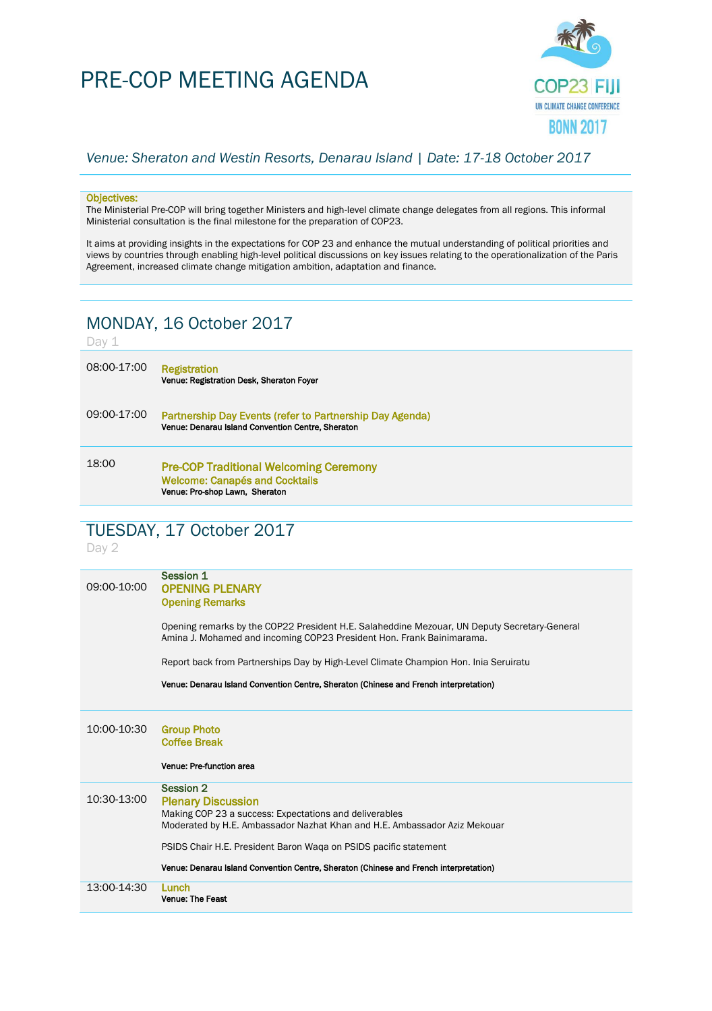# PRE-COP MEETING AGENDA



#### *Venue: Sheraton and Westin Resorts, Denarau Island | Date: 17-18 October 2017*

#### Objectives:

The Ministerial Pre-COP will bring together Ministers and high-level climate change delegates from all regions. This informal Ministerial consultation is the final milestone for the preparation of COP23.

It aims at providing insights in the expectations for COP 23 and enhance the mutual understanding of political priorities and views by countries through enabling high-level political discussions on key issues relating to the operationalization of the Paris Agreement, increased climate change mitigation ambition, adaptation and finance.

## MONDAY, 16 October 2017

#### Day 1

| 08:00-17:00 | <b>Registration</b><br>Venue: Registration Desk, Sheraton Foyer                                               |
|-------------|---------------------------------------------------------------------------------------------------------------|
| 09:00-17:00 | Partnership Day Events (refer to Partnership Day Agenda)<br>Venue: Denarau Island Convention Centre, Sheraton |
| 18:00       | <b>Pre-COP Traditional Welcoming Ceremony</b>                                                                 |

#### Pre-COP Traditional Welcoming Ceremony Welcome: Canapés and Cocktails Venue: Pro-shop Lawn, Sheraton

### TUESDAY, 17 October 2017

Day 2

| 09:00-10:00 | Session 1<br><b>OPENING PLENARY</b><br><b>Opening Remarks</b>                                                                                                                        |
|-------------|--------------------------------------------------------------------------------------------------------------------------------------------------------------------------------------|
|             | Opening remarks by the COP22 President H.E. Salaheddine Mezouar, UN Deputy Secretary-General<br>Amina J. Mohamed and incoming COP23 President Hon. Frank Bainimarama.                |
|             | Report back from Partnerships Day by High-Level Climate Champion Hon. Inia Seruiratu                                                                                                 |
|             | Venue: Denarau Island Convention Centre, Sheraton (Chinese and French interpretation)                                                                                                |
|             |                                                                                                                                                                                      |
| 10:00-10:30 | <b>Group Photo</b><br><b>Coffee Break</b>                                                                                                                                            |
|             | Venue: Pre-function area                                                                                                                                                             |
| 10:30-13:00 | <b>Session 2</b><br><b>Plenary Discussion</b><br>Making COP 23 a success: Expectations and deliverables<br>Moderated by H.E. Ambassador Nazhat Khan and H.E. Ambassador Aziz Mekouar |
|             | PSIDS Chair H.E. President Baron Waga on PSIDS pacific statement<br>Venue: Denarau Island Convention Centre, Sheraton (Chinese and French interpretation)                            |
| 13:00-14:30 | Lunch<br>Venue: The Feast                                                                                                                                                            |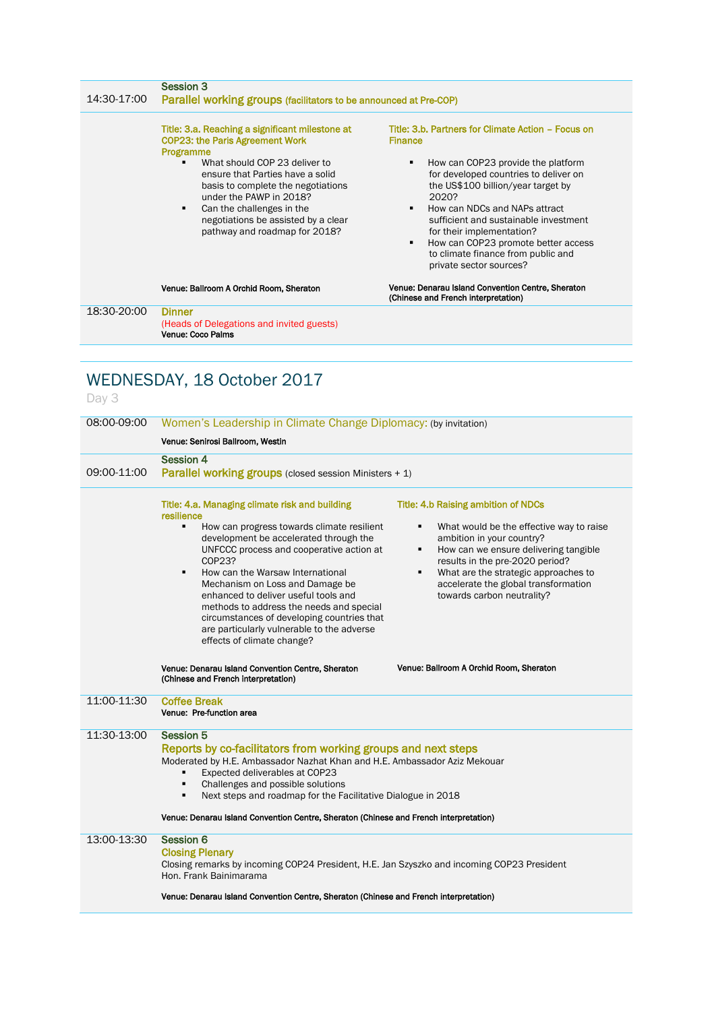| 14:30-17:00 | <b>Session 3</b><br>Parallel working groups (facilitators to be announced at Pre-COP)                                                                                                                                                   |                                                                                                                                                                                                                                                                                                                                           |  |
|-------------|-----------------------------------------------------------------------------------------------------------------------------------------------------------------------------------------------------------------------------------------|-------------------------------------------------------------------------------------------------------------------------------------------------------------------------------------------------------------------------------------------------------------------------------------------------------------------------------------------|--|
|             | Title: 3.a. Reaching a significant milestone at<br><b>COP23: the Paris Agreement Work</b><br>Programme                                                                                                                                  | Title: 3.b. Partners for Climate Action - Focus on<br><b>Finance</b>                                                                                                                                                                                                                                                                      |  |
|             | What should COP 23 deliver to<br>ensure that Parties have a solid<br>basis to complete the negotiations<br>under the PAWP in 2018?<br>Can the challenges in the<br>negotiations be assisted by a clear<br>pathway and roadmap for 2018? | How can COP23 provide the platform<br>for developed countries to deliver on<br>the US\$100 billion/year target by<br>2020?<br>How can NDCs and NAPs attract<br>sufficient and sustainable investment<br>for their implementation?<br>How can COP23 promote better access<br>to climate finance from public and<br>private sector sources? |  |
|             | Venue: Ballroom A Orchid Room, Sheraton                                                                                                                                                                                                 | Venue: Denarau Island Convention Centre, Sheraton<br>(Chinese and French interpretation)                                                                                                                                                                                                                                                  |  |
| 18:30-20:00 | <b>Dinner</b><br>(Heads of Delegations and invited guests)<br>Venue: Coco Palms                                                                                                                                                         |                                                                                                                                                                                                                                                                                                                                           |  |

## WEDNESDAY, 18 October 2017

## Day 3

| 08:00-09:00 | Women's Leadership in Climate Change Diplomacy: (by invitation)                                                                                                                                                                                                                                                                                                                                                                                                                                                        |                                                                                                                                                                                                                                                                                                                              |  |
|-------------|------------------------------------------------------------------------------------------------------------------------------------------------------------------------------------------------------------------------------------------------------------------------------------------------------------------------------------------------------------------------------------------------------------------------------------------------------------------------------------------------------------------------|------------------------------------------------------------------------------------------------------------------------------------------------------------------------------------------------------------------------------------------------------------------------------------------------------------------------------|--|
|             | Venue: Senirosi Ballroom, Westin                                                                                                                                                                                                                                                                                                                                                                                                                                                                                       |                                                                                                                                                                                                                                                                                                                              |  |
| 09:00-11:00 | <b>Session 4</b><br>Parallel working groups (closed session Ministers + 1)                                                                                                                                                                                                                                                                                                                                                                                                                                             |                                                                                                                                                                                                                                                                                                                              |  |
|             | Title: 4.a. Managing climate risk and building<br>resilience<br>٠<br>How can progress towards climate resilient<br>development be accelerated through the<br>UNFCCC process and cooperative action at<br>COP23?<br>How can the Warsaw International<br>$\blacksquare$<br>Mechanism on Loss and Damage be<br>enhanced to deliver useful tools and<br>methods to address the needs and special<br>circumstances of developing countries that<br>are particularly vulnerable to the adverse<br>effects of climate change? | <b>Title: 4.b Raising ambition of NDCs</b><br>What would be the effective way to raise<br>٠<br>ambition in your country?<br>How can we ensure delivering tangible<br>٠<br>results in the pre-2020 period?<br>What are the strategic approaches to<br>٠<br>accelerate the global transformation<br>towards carbon neutrality? |  |
|             | Venue: Denarau Island Convention Centre, Sheraton<br>(Chinese and French interpretation)                                                                                                                                                                                                                                                                                                                                                                                                                               | Venue: Ballroom A Orchid Room, Sheraton                                                                                                                                                                                                                                                                                      |  |
| 11:00-11:30 | <b>Coffee Break</b><br>Venue: Pre-function area                                                                                                                                                                                                                                                                                                                                                                                                                                                                        |                                                                                                                                                                                                                                                                                                                              |  |
| 11:30-13:00 | <b>Session 5</b><br>Reports by co-facilitators from working groups and next steps<br>Moderated by H.E. Ambassador Nazhat Khan and H.E. Ambassador Aziz Mekouar<br>Expected deliverables at COP23<br>٠<br>Challenges and possible solutions<br>٠<br>Next steps and roadmap for the Facilitative Dialogue in 2018<br>٠<br>Venue: Denarau Island Convention Centre, Sheraton (Chinese and French interpretation)                                                                                                          |                                                                                                                                                                                                                                                                                                                              |  |
| 13:00-13:30 | <b>Session 6</b><br><b>Closing Plenary</b><br>Closing remarks by incoming COP24 President, H.E. Jan Szyszko and incoming COP23 President<br>Hon, Frank Bainimarama<br>Venue: Denarau Island Convention Centre, Sheraton (Chinese and French interpretation)                                                                                                                                                                                                                                                            |                                                                                                                                                                                                                                                                                                                              |  |
|             |                                                                                                                                                                                                                                                                                                                                                                                                                                                                                                                        |                                                                                                                                                                                                                                                                                                                              |  |